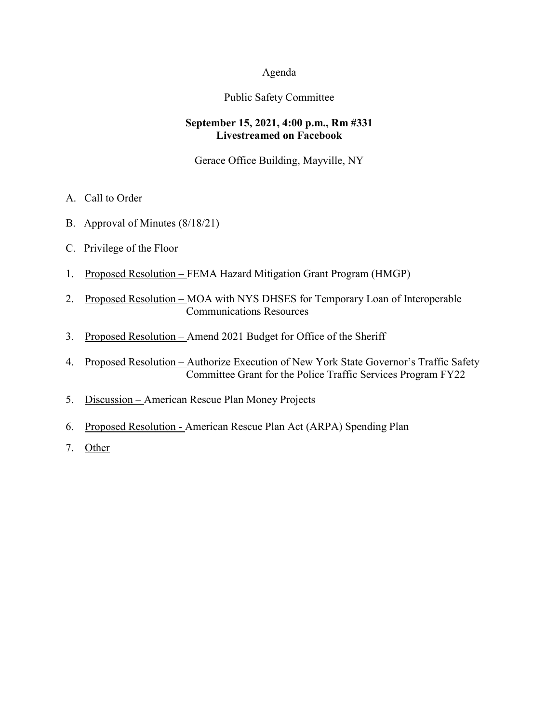#### Agenda

## Public Safety Committee

#### **September 15, 2021, 4:00 p.m., Rm #331 Livestreamed on Facebook**

Gerace Office Building, Mayville, NY

- A. Call to Order
- B. Approval of Minutes (8/18/21)
- C. Privilege of the Floor
- 1. Proposed Resolution FEMA Hazard Mitigation Grant Program (HMGP)
- 2. Proposed Resolution MOA with NYS DHSES for Temporary Loan of Interoperable Communications Resources
- 3. Proposed Resolution Amend 2021 Budget for Office of the Sheriff
- 4. Proposed Resolution Authorize Execution of New York State Governor's Traffic Safety Committee Grant for the Police Traffic Services Program FY22
- 5. Discussion American Rescue Plan Money Projects
- 6. Proposed Resolution American Rescue Plan Act (ARPA) Spending Plan
- 7. Other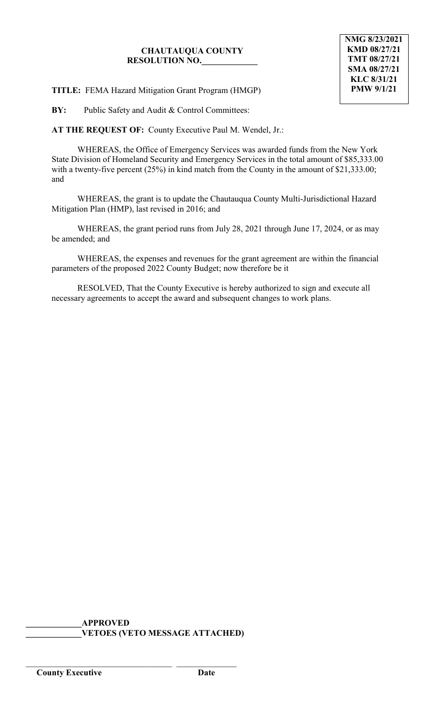## **CHAUTAUQUA COUNTY RESOLUTION NO.\_\_\_\_\_\_\_\_\_\_\_\_\_**

**TITLE:** FEMA Hazard Mitigation Grant Program (HMGP)

**BY:** Public Safety and Audit & Control Committees:

**AT THE REQUEST OF:** County Executive Paul M. Wendel, Jr.:

WHEREAS, the Office of Emergency Services was awarded funds from the New York State Division of Homeland Security and Emergency Services in the total amount of \$85,333.00 with a twenty-five percent (25%) in kind match from the County in the amount of \$21,333.00; and

WHEREAS, the grant is to update the Chautauqua County Multi-Jurisdictional Hazard Mitigation Plan (HMP), last revised in 2016; and

WHEREAS, the grant period runs from July 28, 2021 through June 17, 2024, or as may be amended; and

WHEREAS, the expenses and revenues for the grant agreement are within the financial parameters of the proposed 2022 County Budget; now therefore be it

RESOLVED, That the County Executive is hereby authorized to sign and execute all necessary agreements to accept the award and subsequent changes to work plans.

**\_\_\_\_\_\_\_\_\_\_\_\_\_APPROVED \_\_\_\_\_\_\_\_\_\_\_\_\_VETOES (VETO MESSAGE ATTACHED)**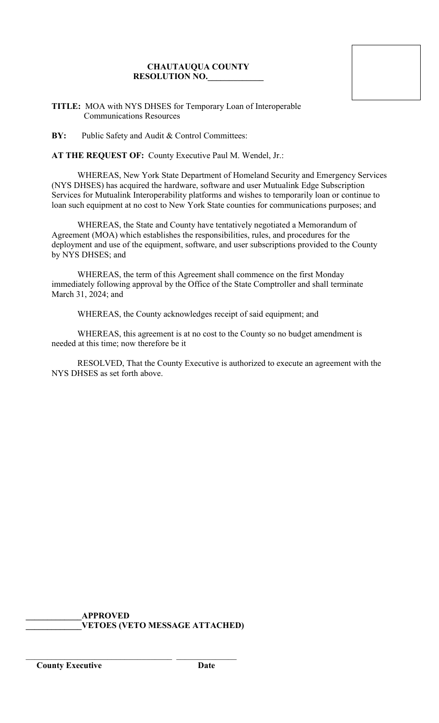# **CHAUTAUQUA COUNTY RESOLUTION NO.\_\_\_\_\_\_\_\_\_\_\_\_\_**

**TITLE:** MOA with NYS DHSES for Temporary Loan of Interoperable Communications Resources

**BY:** Public Safety and Audit & Control Committees:

**AT THE REQUEST OF:** County Executive Paul M. Wendel, Jr.:

WHEREAS, New York State Department of Homeland Security and Emergency Services (NYS DHSES) has acquired the hardware, software and user Mutualink Edge Subscription Services for Mutualink Interoperability platforms and wishes to temporarily loan or continue to loan such equipment at no cost to New York State counties for communications purposes; and

WHEREAS, the State and County have tentatively negotiated a Memorandum of Agreement (MOA) which establishes the responsibilities, rules, and procedures for the deployment and use of the equipment, software, and user subscriptions provided to the County by NYS DHSES; and

WHEREAS, the term of this Agreement shall commence on the first Monday immediately following approval by the Office of the State Comptroller and shall terminate March 31, 2024; and

WHEREAS, the County acknowledges receipt of said equipment; and

WHEREAS, this agreement is at no cost to the County so no budget amendment is needed at this time; now therefore be it

RESOLVED, That the County Executive is authorized to execute an agreement with the NYS DHSES as set forth above.

**\_\_\_\_\_\_\_\_\_\_\_\_\_APPROVED \_\_\_\_\_\_\_\_\_\_\_\_\_VETOES (VETO MESSAGE ATTACHED)**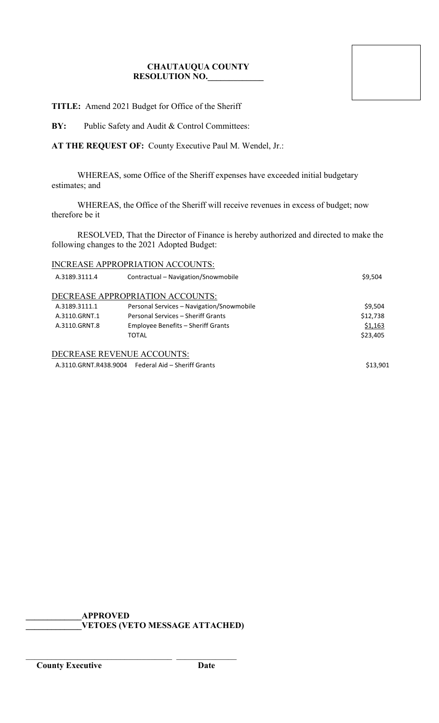# **CHAUTAUQUA COUNTY RESOLUTION NO.\_\_\_\_\_\_\_\_\_\_\_\_\_**

**TITLE:** Amend 2021 Budget for Office of the Sheriff

BY: Public Safety and Audit & Control Committees:

**AT THE REQUEST OF:** County Executive Paul M. Wendel, Jr.:

WHEREAS, some Office of the Sheriff expenses have exceeded initial budgetary estimates; and

WHEREAS, the Office of the Sheriff will receive revenues in excess of budget; now therefore be it

RESOLVED, That the Director of Finance is hereby authorized and directed to make the following changes to the 2021 Adopted Budget:

| INCREASE APPROPRIATION ACCOUNTS: |  |
|----------------------------------|--|
|                                  |  |

| A.3189.3111.4 | Contractual – Navigation/Snowmobile                | \$9,504  |
|---------------|----------------------------------------------------|----------|
|               | DECREASE APPROPRIATION ACCOUNTS:                   |          |
| A.3189.3111.1 | Personal Services - Navigation/Snowmobile          | \$9,504  |
| A.3110.GRNT.1 | Personal Services – Sheriff Grants                 | \$12,738 |
| A.3110.GRNT.8 | Employee Benefits - Sheriff Grants                 | \$1,163  |
|               | <b>TOTAL</b>                                       | \$23,405 |
|               | DECREASE REVENUE ACCOUNTS:                         |          |
|               | A.3110.GRNT.R438.9004 Federal Aid – Sheriff Grants | \$13.901 |

**\_\_\_\_\_\_\_\_\_\_\_\_\_APPROVED \_\_\_\_\_\_\_\_\_\_\_\_\_VETOES (VETO MESSAGE ATTACHED)**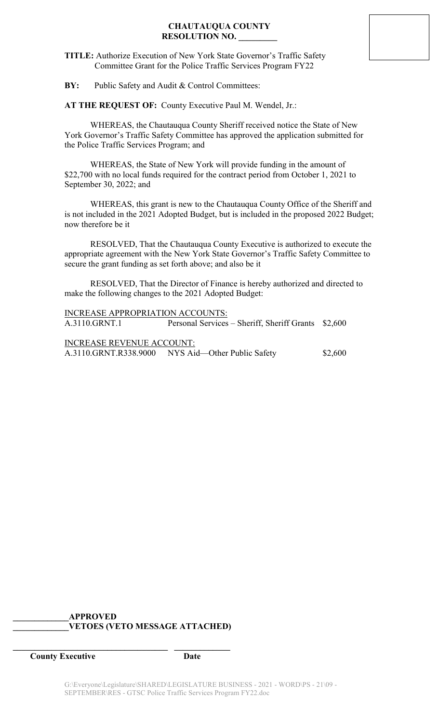# **CHAUTAUQUA COUNTY RESOLUTION NO. \_\_\_\_\_\_\_\_\_**

**TITLE:** Authorize Execution of New York State Governor's Traffic Safety Committee Grant for the Police Traffic Services Program FY22

**BY:** Public Safety and Audit & Control Committees:

**AT THE REQUEST OF:** County Executive Paul M. Wendel, Jr.:

WHEREAS, the Chautauqua County Sheriff received notice the State of New York Governor's Traffic Safety Committee has approved the application submitted for the Police Traffic Services Program; and

WHEREAS, the State of New York will provide funding in the amount of \$22,700 with no local funds required for the contract period from October 1, 2021 to September 30, 2022; and

WHEREAS, this grant is new to the Chautauqua County Office of the Sheriff and is not included in the 2021 Adopted Budget, but is included in the proposed 2022 Budget; now therefore be it

RESOLVED, That the Chautauqua County Executive is authorized to execute the appropriate agreement with the New York State Governor's Traffic Safety Committee to secure the grant funding as set forth above; and also be it

RESOLVED, That the Director of Finance is hereby authorized and directed to make the following changes to the 2021 Adopted Budget:

INCREASE APPROPRIATION ACCOUNTS: A.3110.GRNT.1 Personal Services – Sheriff, Sheriff Grants \$2,600 INCREASE REVENUE ACCOUNT:

A.3110.GRNT.R338.9000 NYS Aid-Other Public Safety \$2,600

## **\_\_\_\_\_\_\_\_\_\_\_\_\_APPROVED \_\_\_\_\_\_\_\_\_\_\_\_\_VETOES (VETO MESSAGE ATTACHED)**

**\_\_\_\_\_\_\_\_\_\_\_\_\_\_\_\_\_\_\_\_\_\_\_\_\_\_\_\_\_\_\_\_\_\_\_\_ \_\_\_\_\_\_\_\_\_\_\_\_\_**

**County Executive Date**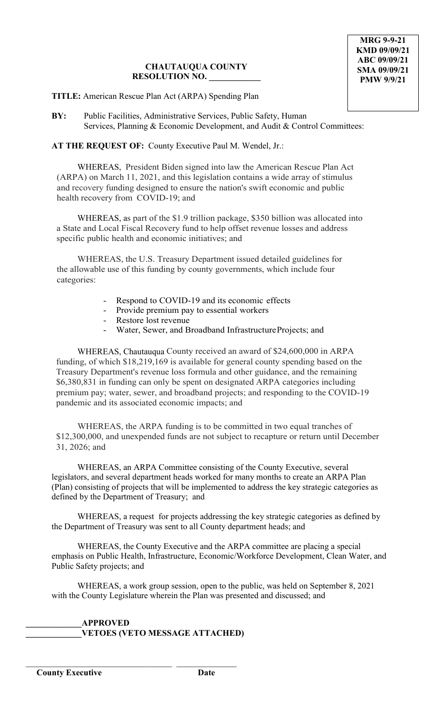# **CHAUTAUQUA COUNTY RESOLUTION NO. \_\_\_\_\_\_\_\_\_\_\_\_**

**TITLE:** American Rescue Plan Act (ARPA) Spending Plan

**BY:** Public Facilities, Administrative Services, Public Safety, Human Services, Planning & Economic Development, and Audit & Control Committees:

**AT THE REQUEST OF:** County Executive Paul M. Wendel, Jr.:

WHEREAS, President Biden signed into law the American Rescue Plan Act (ARPA) on March 11, 2021, and this legislation contains a wide array of stimulus and recovery funding designed to ensure the nation's swift economic and public health recovery from COVID-19; and

WHEREAS, as part of the \$1.9 trillion package, \$350 billion was allocated into a State and Local Fiscal Recovery fund to help offset revenue losses and address specific public health and economic initiatives; and

WHEREAS, the U.S. Treasury Department issued detailed guidelines for the allowable use of this funding by county governments, which include four categories:

- Respond to COVID-19 and its economic effects
- Provide premium pay to essential workers
- Restore lost revenue
- Water, Sewer, and Broadband InfrastructureProjects; and

WHEREAS, Chautauqua County received an award of \$24,600,000 in ARPA funding, of which \$18,219,169 is available for general county spending based on the Treasury Department's revenue loss formula and other guidance, and the remaining \$6,380,831 in funding can only be spent on designated ARPA categories including premium pay; water, sewer, and broadband projects; and responding to the COVID-19 pandemic and its associated economic impacts; and

WHEREAS, the ARPA funding is to be committed in two equal tranches of \$12,300,000, and unexpended funds are not subject to recapture or return until December 31, 2026; and

WHEREAS, an ARPA Committee consisting of the County Executive, several legislators, and several department heads worked for many months to create an ARPA Plan (Plan) consisting of projects that will be implemented to address the key strategic categories as defined by the Department of Treasury; and

WHEREAS, a request for projects addressing the key strategic categories as defined by the Department of Treasury was sent to all County department heads; and

WHEREAS, the County Executive and the ARPA committee are placing a special emphasis on Public Health, Infrastructure, Economic/Workforce Development, Clean Water, and Public Safety projects; and

WHEREAS, a work group session, open to the public, was held on September 8, 2021 with the County Legislature wherein the Plan was presented and discussed; and

## **\_\_\_\_\_\_\_\_\_\_\_\_\_APPROVED \_\_\_\_\_\_\_\_\_\_\_\_\_VETOES (VETO MESSAGE ATTACHED)**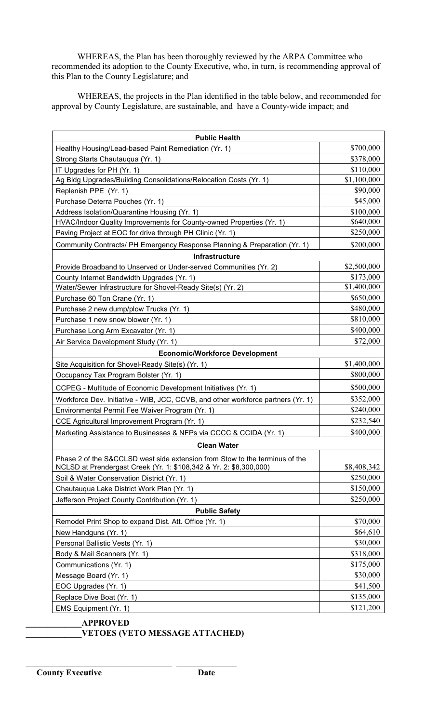WHEREAS, the Plan has been thoroughly reviewed by the ARPA Committee who recommended its adoption to the County Executive, who, in turn, is recommending approval of this Plan to the County Legislature; and

WHEREAS, the projects in the Plan identified in the table below, and recommended for approval by County Legislature, are sustainable, and have a County-wide impact; and

| <b>Public Health</b>                                                             |             |  |  |  |
|----------------------------------------------------------------------------------|-------------|--|--|--|
| Healthy Housing/Lead-based Paint Remediation (Yr. 1)                             | \$700,000   |  |  |  |
| Strong Starts Chautauqua (Yr. 1)                                                 | \$378,000   |  |  |  |
| IT Upgrades for PH (Yr. 1)                                                       | \$110,000   |  |  |  |
| Ag Bldg Upgrades/Building Consolidations/Relocation Costs (Yr. 1)                | \$1,100,000 |  |  |  |
| Replenish PPE (Yr. 1)                                                            | \$90,000    |  |  |  |
| Purchase Deterra Pouches (Yr. 1)                                                 | \$45,000    |  |  |  |
| Address Isolation/Quarantine Housing (Yr. 1)                                     | \$100,000   |  |  |  |
| HVAC/Indoor Quality Improvements for County-owned Properties (Yr. 1)             | \$640,000   |  |  |  |
| Paving Project at EOC for drive through PH Clinic (Yr. 1)                        | \$250,000   |  |  |  |
| Community Contracts/ PH Emergency Response Planning & Preparation (Yr. 1)        | \$200,000   |  |  |  |
| <b>Infrastructure</b>                                                            |             |  |  |  |
| Provide Broadband to Unserved or Under-served Communities (Yr. 2)                | \$2,500,000 |  |  |  |
| County Internet Bandwidth Upgrades (Yr. 1)                                       | \$173,000   |  |  |  |
| Water/Sewer Infrastructure for Shovel-Ready Site(s) (Yr. 2)                      | \$1,400,000 |  |  |  |
| Purchase 60 Ton Crane (Yr. 1)                                                    | \$650,000   |  |  |  |
| Purchase 2 new dump/plow Trucks (Yr. 1)                                          | \$480,000   |  |  |  |
| Purchase 1 new snow blower (Yr. 1)                                               | \$810,000   |  |  |  |
| Purchase Long Arm Excavator (Yr. 1)                                              | \$400,000   |  |  |  |
| Air Service Development Study (Yr. 1)                                            | \$72,000    |  |  |  |
| <b>Economic/Workforce Development</b>                                            |             |  |  |  |
| Site Acquisition for Shovel-Ready Site(s) (Yr. 1)                                | \$1,400,000 |  |  |  |
| Occupancy Tax Program Bolster (Yr. 1)                                            | \$800,000   |  |  |  |
| CCPEG - Multitude of Economic Development Initiatives (Yr. 1)                    | \$500,000   |  |  |  |
| Workforce Dev. Initiative - WIB, JCC, CCVB, and other workforce partners (Yr. 1) | \$352,000   |  |  |  |
| Environmental Permit Fee Waiver Program (Yr. 1)                                  | \$240,000   |  |  |  |
| CCE Agricultural Improvement Program (Yr. 1)                                     | \$232,540   |  |  |  |
| Marketing Assistance to Businesses & NFPs via CCCC & CCIDA (Yr. 1)               | \$400,000   |  |  |  |
| <b>Clean Water</b>                                                               |             |  |  |  |
| Phase 2 of the S&CCLSD west side extension from Stow to the terminus of the      |             |  |  |  |
| NCLSD at Prendergast Creek (Yr. 1: \$108,342 & Yr. 2: \$8,300,000)               | \$8,408,342 |  |  |  |
| Soil & Water Conservation District (Yr. 1)                                       | \$250,000   |  |  |  |
| Chautauqua Lake District Work Plan (Yr. 1)                                       | \$150,000   |  |  |  |
| Jefferson Project County Contribution (Yr. 1)                                    | \$250,000   |  |  |  |
| <b>Public Safety</b>                                                             |             |  |  |  |
| Remodel Print Shop to expand Dist. Att. Office (Yr. 1)                           | \$70,000    |  |  |  |
| New Handguns (Yr. 1)                                                             | \$64,610    |  |  |  |
| Personal Ballistic Vests (Yr. 1)                                                 | \$30,000    |  |  |  |
| Body & Mail Scanners (Yr. 1)                                                     | \$318,000   |  |  |  |
| Communications (Yr. 1)                                                           | \$175,000   |  |  |  |
| Message Board (Yr. 1)                                                            | \$30,000    |  |  |  |
| EOC Upgrades (Yr. 1)                                                             | \$41,500    |  |  |  |
| Replace Dive Boat (Yr. 1)                                                        | \$135,000   |  |  |  |
| EMS Equipment (Yr. 1)                                                            | \$121,200   |  |  |  |

**\_\_\_\_\_\_\_\_\_\_\_\_\_APPROVED**

\_\_\_\_\_\_\_\_\_\_\_\_\_\_\_\_\_\_\_\_\_\_\_\_\_\_\_\_\_\_\_\_\_\_ \_\_\_\_\_\_\_\_\_\_\_\_\_\_

**\_\_\_\_\_\_\_\_\_\_\_\_\_VETOES (VETO MESSAGE ATTACHED)**